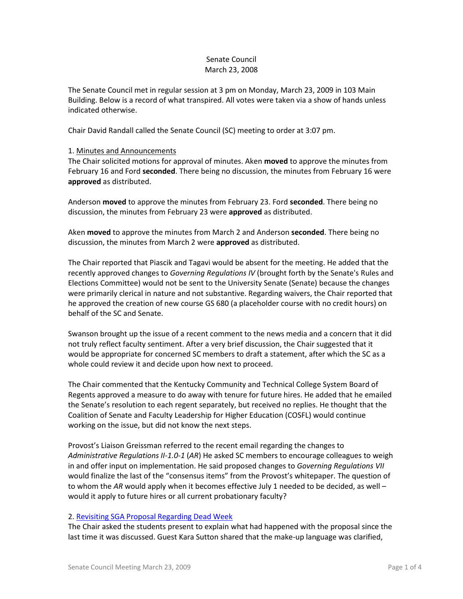## Senate Council March 23, 2008

The Senate Council met in regular session at 3 pm on Monday, March 23, 2009 in 103 Main Building. Below is a record of what transpired. All votes were taken via a show of hands unless indicated otherwise.

Chair David Randall called the Senate Council (SC) meeting to order at 3:07 pm.

### 1. Minutes and Announcements

The Chair solicited motions for approval of minutes. Aken **moved** to approve the minutes from February 16 and Ford **seconded**. There being no discussion, the minutes from February 16 were **approved** as distributed.

Anderson **moved** to approve the minutes from February 23. Ford **seconded**. There being no discussion, the minutes from February 23 were **approved** as distributed.

Aken **moved** to approve the minutes from March 2 and Anderson **seconded**. There being no discussion, the minutes from March 2 were **approved** as distributed.

The Chair reported that Piascik and Tagavi would be absent for the meeting. He added that the recently approved changes to *Governing Regulations IV* (brought forth by the Senate's Rules and Elections Committee) would not be sent to the University Senate (Senate) because the changes were primarily clerical in nature and not substantive. Regarding waivers, the Chair reported that he approved the creation of new course GS 680 (a placeholder course with no credit hours) on behalf of the SC and Senate.

Swanson brought up the issue of a recent comment to the news media and a concern that it did not truly reflect faculty sentiment. After a very brief discussion, the Chair suggested that it would be appropriate for concerned SC members to draft a statement, after which the SC as a whole could review it and decide upon how next to proceed.

The Chair commented that the Kentucky Community and Technical College System Board of Regents approved a measure to do away with tenure for future hires. He added that he emailed the Senate's resolution to each regent separately, but received no replies. He thought that the Coalition of Senate and Faculty Leadership for Higher Education (COSFL) would continue working on the issue, but did not know the next steps.

Provost's Liaison Greissman referred to the recent email regarding the changes to *Administrative Regulations II-1.0-1* (*AR*) He asked SC members to encourage colleagues to weigh in and offer input on implementation. He said proposed changes to *Governing Regulations VII* would finalize the last of the "consensus items" from the Provost's whitepaper. The question of to whom the *AR* would apply when it becomes effective July 1 needed to be decided, as well – would it apply to future hires or all current probationary faculty?

#### 2. [Revisiting SGA Proposal Regarding Dead Week](http://www.uky.edu/USC/New/files/Dead%20Week%20Proposal%20_Senate%20Council%203-23-09_.pdf)

The Chair asked the students present to explain what had happened with the proposal since the last time it was discussed. Guest Kara Sutton shared that the make-up language was clarified,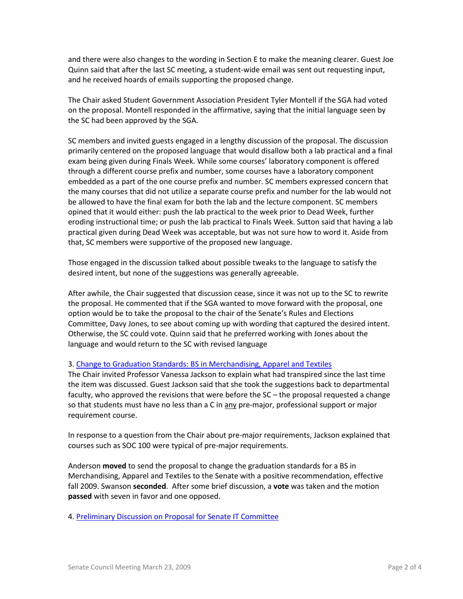and there were also changes to the wording in Section E to make the meaning clearer. Guest Joe Quinn said that after the last SC meeting, a student-wide email was sent out requesting input, and he received hoards of emails supporting the proposed change.

The Chair asked Student Government Association President Tyler Montell if the SGA had voted on the proposal. Montell responded in the affirmative, saying that the initial language seen by the SC had been approved by the SGA.

SC members and invited guests engaged in a lengthy discussion of the proposal. The discussion primarily centered on the proposed language that would disallow both a lab practical and a final exam being given during Finals Week. While some courses' laboratory component is offered through a different course prefix and number, some courses have a laboratory component embedded as a part of the one course prefix and number. SC members expressed concern that the many courses that did not utilize a separate course prefix and number for the lab would not be allowed to have the final exam for both the lab and the lecture component. SC members opined that it would either: push the lab practical to the week prior to Dead Week, further eroding instructional time; or push the lab practical to Finals Week. Sutton said that having a lab practical given during Dead Week was acceptable, but was not sure how to word it. Aside from that, SC members were supportive of the proposed new language.

Those engaged in the discussion talked about possible tweaks to the language to satisfy the desired intent, but none of the suggestions was generally agreeable.

After awhile, the Chair suggested that discussion cease, since it was not up to the SC to rewrite the proposal. He commented that if the SGA wanted to move forward with the proposal, one option would be to take the proposal to the chair of the Senate's Rules and Elections Committee, Davy Jones, to see about coming up with wording that captured the desired intent. Otherwise, the SC could vote. Quinn said that he preferred working with Jones about the language and would return to the SC with revised language

## 3. [Change to Graduation Standards: BS in Merchandising, Apparel and Textiles](http://www.uky.edu/USC/New/files/Merchandising%20Txtile%20&%20Apparel%20-%20Prog%20Change_Complete2.pdf)

The Chair invited Professor Vanessa Jackson to explain what had transpired since the last time the item was discussed. Guest Jackson said that she took the suggestions back to departmental faculty, who approved the revisions that were before the SC – the proposal requested a change so that students must have no less than a C in any pre-major, professional support or major requirement course.

In response to a question from the Chair about pre-major requirements, Jackson explained that courses such as SOC 100 were typical of pre-major requirements.

Anderson **moved** to send the proposal to change the graduation standards for a BS in Merchandising, Apparel and Textiles to the Senate with a positive recommendation, effective fall 2009. Swanson **seconded**. After some brief discussion, a **vote** was taken and the motion **passed** with seven in favor and one opposed.

4. [Preliminary Discussion on Proposal for Senate IT Committee](http://www.uky.edu/USC/New/files/IT%20committee%20proposal.pdf)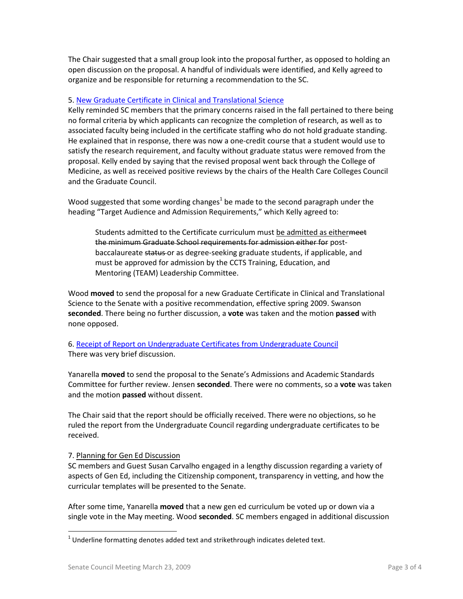The Chair suggested that a small group look into the proposal further, as opposed to holding an open discussion on the proposal. A handful of individuals were identified, and Kelly agreed to organize and be responsible for returning a recommendation to the SC.

## 5. [New Graduate Certificate in Clinical and Translational Science](http://www.uky.edu/USC/New/files/Grad%20Cert%20Clinical%20&%20Translational%20Sci%20-%20New%20Grad%20Cert_Complete2.pdf)

Kelly reminded SC members that the primary concerns raised in the fall pertained to there being no formal criteria by which applicants can recognize the completion of research, as well as to associated faculty being included in the certificate staffing who do not hold graduate standing. He explained that in response, there was now a one-credit course that a student would use to satisfy the research requirement, and faculty without graduate status were removed from the proposal. Kelly ended by saying that the revised proposal went back through the College of Medicine, as well as received positive reviews by the chairs of the Health Care Colleges Council and the Graduate Council.

Wood suggested that some wording changes<sup>1</sup> be made to the second paragraph under the heading "Target Audience and Admission Requirements," which Kelly agreed to:

Students admitted to the Certificate curriculum must be admitted as eithermeet the minimum Graduate School requirements for admission either for postbaccalaureate status or as degree-seeking graduate students, if applicable, and must be approved for admission by the CCTS Training, Education, and Mentoring (TEAM) Leadership Committee.

Wood **moved** to send the proposal for a new Graduate Certificate in Clinical and Translational Science to the Senate with a positive recommendation, effective spring 2009. Swanson **seconded**. There being no further discussion, a **vote** was taken and the motion **passed** with none opposed.

# 6. [Receipt of Report on Undergraduate Certificates from Undergraduate Council](http://www.uky.edu/USC/New/files/Undergraduate%20Certificates_Complete.pdf) There was very brief discussion.

Yanarella **moved** to send the proposal to the Senate's Admissions and Academic Standards Committee for further review. Jensen **seconded**. There were no comments, so a **vote** was taken and the motion **passed** without dissent.

The Chair said that the report should be officially received. There were no objections, so he ruled the report from the Undergraduate Council regarding undergraduate certificates to be received.

## 7. Planning for Gen Ed Discussion

SC members and Guest Susan Carvalho engaged in a lengthy discussion regarding a variety of aspects of Gen Ed, including the Citizenship component, transparency in vetting, and how the curricular templates will be presented to the Senate.

After some time, Yanarella **moved** that a new gen ed curriculum be voted up or down via a single vote in the May meeting. Wood **seconded**. SC members engaged in additional discussion

 $\overline{\phantom{a}}$ 

 $^{1}$  Underline formatting denotes added text and strikethrough indicates deleted text.